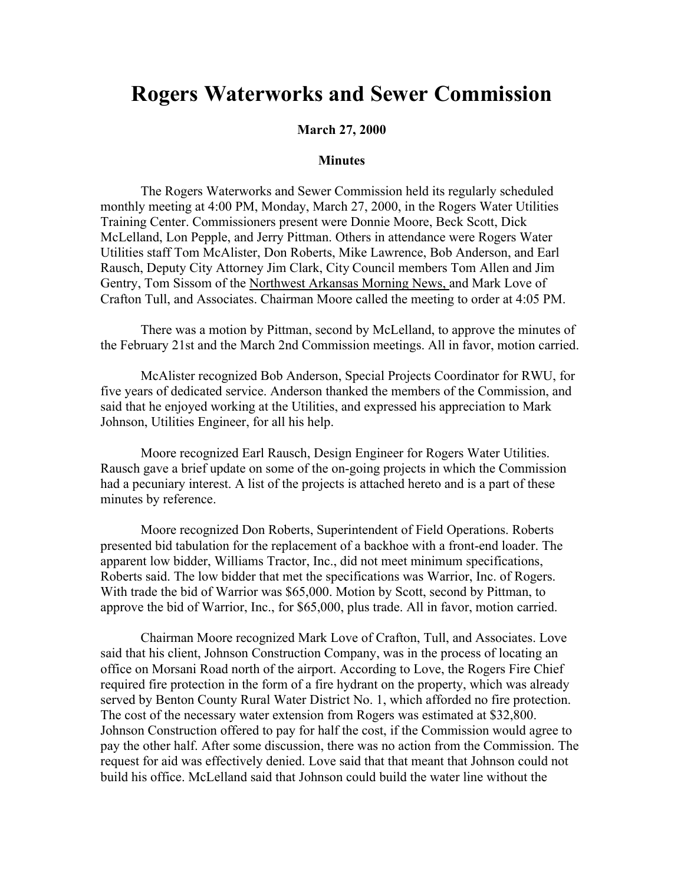## **Rogers Waterworks and Sewer Commission**

## **March 27, 2000**

## **Minutes**

The Rogers Waterworks and Sewer Commission held its regularly scheduled monthly meeting at 4:00 PM, Monday, March 27, 2000, in the Rogers Water Utilities Training Center. Commissioners present were Donnie Moore, Beck Scott, Dick McLelland, Lon Pepple, and Jerry Pittman. Others in attendance were Rogers Water Utilities staff Tom McAlister, Don Roberts, Mike Lawrence, Bob Anderson, and Earl Rausch, Deputy City Attorney Jim Clark, City Council members Tom Allen and Jim Gentry, Tom Sissom of the Northwest Arkansas Morning News, and Mark Love of Crafton Tull, and Associates. Chairman Moore called the meeting to order at 4:05 PM.

There was a motion by Pittman, second by McLelland, to approve the minutes of the February 21st and the March 2nd Commission meetings. All in favor, motion carried.

McAlister recognized Bob Anderson, Special Projects Coordinator for RWU, for five years of dedicated service. Anderson thanked the members of the Commission, and said that he enjoyed working at the Utilities, and expressed his appreciation to Mark Johnson, Utilities Engineer, for all his help.

Moore recognized Earl Rausch, Design Engineer for Rogers Water Utilities. Rausch gave a brief update on some of the on-going projects in which the Commission had a pecuniary interest. A list of the projects is attached hereto and is a part of these minutes by reference.

Moore recognized Don Roberts, Superintendent of Field Operations. Roberts presented bid tabulation for the replacement of a backhoe with a front-end loader. The apparent low bidder, Williams Tractor, Inc., did not meet minimum specifications, Roberts said. The low bidder that met the specifications was Warrior, Inc. of Rogers. With trade the bid of Warrior was \$65,000. Motion by Scott, second by Pittman, to approve the bid of Warrior, Inc., for \$65,000, plus trade. All in favor, motion carried.

Chairman Moore recognized Mark Love of Crafton, Tull, and Associates. Love said that his client, Johnson Construction Company, was in the process of locating an office on Morsani Road north of the airport. According to Love, the Rogers Fire Chief required fire protection in the form of a fire hydrant on the property, which was already served by Benton County Rural Water District No. 1, which afforded no fire protection. The cost of the necessary water extension from Rogers was estimated at \$32,800. Johnson Construction offered to pay for half the cost, if the Commission would agree to pay the other half. After some discussion, there was no action from the Commission. The request for aid was effectively denied. Love said that that meant that Johnson could not build his office. McLelland said that Johnson could build the water line without the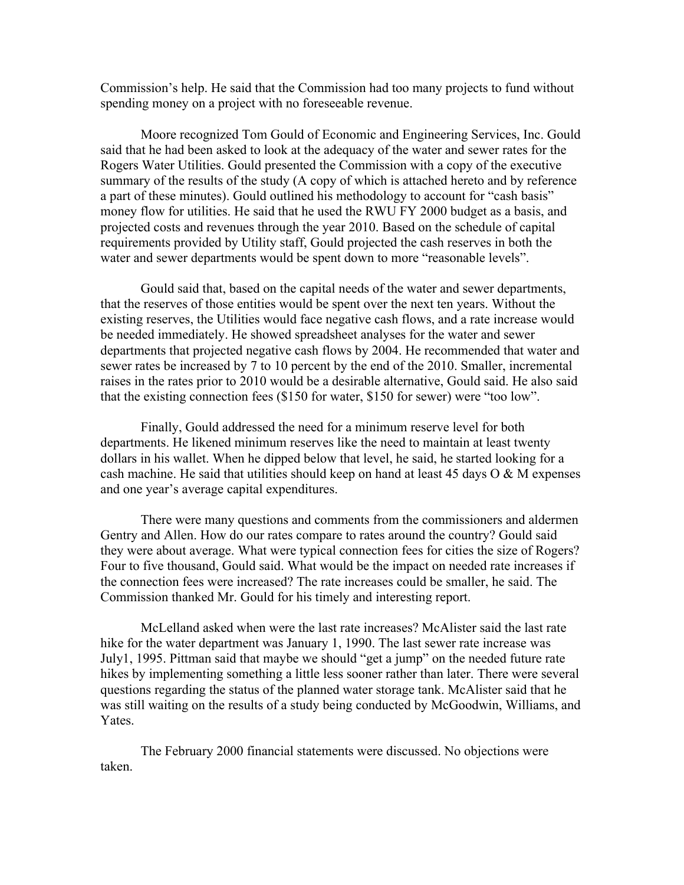Commission's help. He said that the Commission had too many projects to fund without spending money on a project with no foreseeable revenue.

Moore recognized Tom Gould of Economic and Engineering Services, Inc. Gould said that he had been asked to look at the adequacy of the water and sewer rates for the Rogers Water Utilities. Gould presented the Commission with a copy of the executive summary of the results of the study (A copy of which is attached hereto and by reference a part of these minutes). Gould outlined his methodology to account for "cash basis" money flow for utilities. He said that he used the RWU FY 2000 budget as a basis, and projected costs and revenues through the year 2010. Based on the schedule of capital requirements provided by Utility staff, Gould projected the cash reserves in both the water and sewer departments would be spent down to more "reasonable levels".

Gould said that, based on the capital needs of the water and sewer departments, that the reserves of those entities would be spent over the next ten years. Without the existing reserves, the Utilities would face negative cash flows, and a rate increase would be needed immediately. He showed spreadsheet analyses for the water and sewer departments that projected negative cash flows by 2004. He recommended that water and sewer rates be increased by 7 to 10 percent by the end of the 2010. Smaller, incremental raises in the rates prior to 2010 would be a desirable alternative, Gould said. He also said that the existing connection fees (\$150 for water, \$150 for sewer) were "too low".

Finally, Gould addressed the need for a minimum reserve level for both departments. He likened minimum reserves like the need to maintain at least twenty dollars in his wallet. When he dipped below that level, he said, he started looking for a cash machine. He said that utilities should keep on hand at least 45 days  $\overline{O} \& M$  expenses and one year's average capital expenditures.

There were many questions and comments from the commissioners and aldermen Gentry and Allen. How do our rates compare to rates around the country? Gould said they were about average. What were typical connection fees for cities the size of Rogers? Four to five thousand, Gould said. What would be the impact on needed rate increases if the connection fees were increased? The rate increases could be smaller, he said. The Commission thanked Mr. Gould for his timely and interesting report.

McLelland asked when were the last rate increases? McAlister said the last rate hike for the water department was January 1, 1990. The last sewer rate increase was July1, 1995. Pittman said that maybe we should "get a jump" on the needed future rate hikes by implementing something a little less sooner rather than later. There were several questions regarding the status of the planned water storage tank. McAlister said that he was still waiting on the results of a study being conducted by McGoodwin, Williams, and Yates.

The February 2000 financial statements were discussed. No objections were taken.